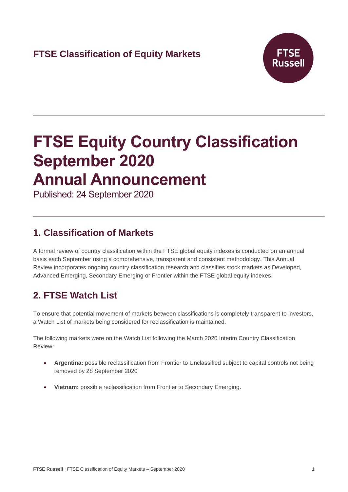

# **FTSE Equity Country Classification September 2020 Annual Announcement**

Published: 24 September 2020

## **1. Classification of Markets**

A formal review of country classification within the FTSE global equity indexes is conducted on an annual basis each September using a comprehensive, transparent and consistent methodology. This Annual Review incorporates ongoing country classification research and classifies stock markets as Developed, Advanced Emerging, Secondary Emerging or Frontier within the FTSE global equity indexes.

# **2. FTSE Watch List**

To ensure that potential movement of markets between classifications is completely transparent to investors, a Watch List of markets being considered for reclassification is maintained.

The following markets were on the Watch List following the March 2020 Interim Country Classification Review:

- **Argentina:** possible reclassification from Frontier to Unclassified subject to capital controls not being removed by 28 September 2020
- **Vietnam:** possible reclassification from Frontier to Secondary Emerging.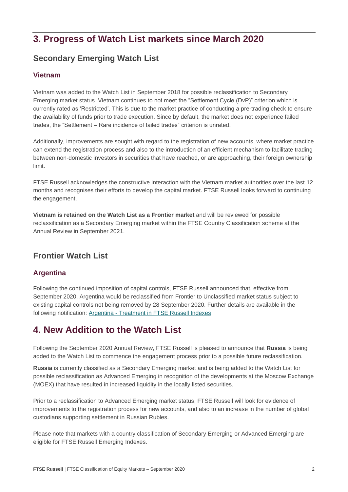## **3. Progress of Watch List markets since March 2020**

### **Secondary Emerging Watch List**

#### **Vietnam**

Vietnam was added to the Watch List in September 2018 for possible reclassification to Secondary Emerging market status. Vietnam continues to not meet the "Settlement Cycle (DvP)" criterion which is currently rated as 'Restricted'. This is due to the market practice of conducting a pre-trading check to ensure the availability of funds prior to trade execution. Since by default, the market does not experience failed trades, the "Settlement – Rare incidence of failed trades" criterion is unrated.

Additionally, improvements are sought with regard to the registration of new accounts, where market practice can extend the registration process and also to the introduction of an efficient mechanism to facilitate trading between non-domestic investors in securities that have reached, or are approaching, their foreign ownership limit.

FTSE Russell acknowledges the constructive interaction with the Vietnam market authorities over the last 12 months and recognises their efforts to develop the capital market. FTSE Russell looks forward to continuing the engagement.

**Vietnam is retained on the Watch List as a Frontier market** and will be reviewed for possible reclassification as a Secondary Emerging market within the FTSE Country Classification scheme at the Annual Review in September 2021.

#### **Frontier Watch List**

#### **Argentina**

Following the continued imposition of capital controls, FTSE Russell announced that, effective from September 2020, Argentina would be reclassified from Frontier to Unclassified market status subject to existing capital controls not being removed by 28 September 2020. Further details are available in the following notification: Argentina - [Treatment in FTSE Russell Indexes](https://research.ftserussell.com/products/index-notices/home/getnotice/?id=2595359)

### **4. New Addition to the Watch List**

Following the September 2020 Annual Review, FTSE Russell is pleased to announce that **Russia** is being added to the Watch List to commence the engagement process prior to a possible future reclassification.

**Russia** is currently classified as a Secondary Emerging market and is being added to the Watch List for possible reclassification as Advanced Emerging in recognition of the developments at the Moscow Exchange (MOEX) that have resulted in increased liquidity in the locally listed securities.

Prior to a reclassification to Advanced Emerging market status, FTSE Russell will look for evidence of improvements to the registration process for new accounts, and also to an increase in the number of global custodians supporting settlement in Russian Rubles.

Please note that markets with a country classification of Secondary Emerging or Advanced Emerging are eligible for FTSE Russell Emerging Indexes.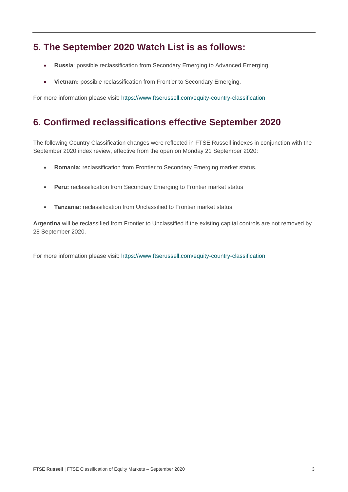### **5. The September 2020 Watch List is as follows:**

- **Russia**: possible reclassification from Secondary Emerging to Advanced Emerging
- **Vietnam:** possible reclassification from Frontier to Secondary Emerging.

For more information please visit:<https://www.ftserussell.com/equity-country-classification>

### **6. Confirmed reclassifications effective September 2020**

The following Country Classification changes were reflected in FTSE Russell indexes in conjunction with the September 2020 index review, effective from the open on Monday 21 September 2020:

- **Romania:** reclassification from Frontier to Secondary Emerging market status.
- **Peru:** reclassification from Secondary Emerging to Frontier market status
- **Tanzania:** reclassification from Unclassified to Frontier market status.

**Argentina** will be reclassified from Frontier to Unclassified if the existing capital controls are not removed by 28 September 2020.

For more information please visit:<https://www.ftserussell.com/equity-country-classification>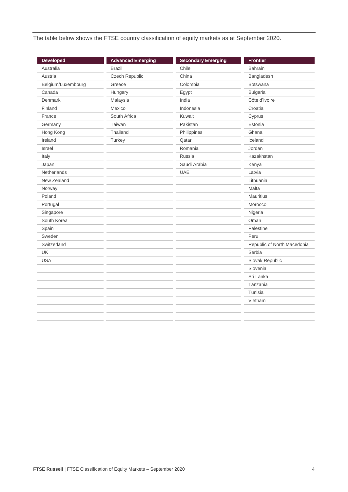The table below shows the FTSE country classification of equity markets as at September 2020.

| <b>Developed</b>   | <b>Advanced Emerging</b> | <b>Secondary Emerging</b> | <b>Frontier</b>             |
|--------------------|--------------------------|---------------------------|-----------------------------|
| Australia          | <b>Brazil</b>            | Chile                     | <b>Bahrain</b>              |
| Austria            | Czech Republic           | China                     | Bangladesh                  |
| Belgium/Luxembourg | Greece                   | Colombia                  | <b>Botswana</b>             |
| Canada             | Hungary                  | Egypt                     | <b>Bulgaria</b>             |
| Denmark            | Malaysia                 | India                     | Côte d'Ivoire               |
| Finland            | Mexico                   | Indonesia                 | Croatia                     |
| France             | South Africa             | Kuwait                    | Cyprus                      |
| Germany            | Taiwan                   | Pakistan                  | Estonia                     |
| Hong Kong          | Thailand                 | Philippines               | Ghana                       |
| Ireland            | Turkey                   | Qatar                     | Iceland                     |
| Israel             |                          | Romania                   | Jordan                      |
| Italy              |                          | Russia                    | Kazakhstan                  |
| Japan              |                          | Saudi Arabia              | Kenya                       |
| <b>Netherlands</b> |                          | <b>UAE</b>                | Latvia                      |
| New Zealand        |                          |                           | Lithuania                   |
| Norway             |                          |                           | Malta                       |
| Poland             |                          |                           | <b>Mauritius</b>            |
| Portugal           |                          |                           | Morocco                     |
| Singapore          |                          |                           | Nigeria                     |
| South Korea        |                          |                           | Oman                        |
| Spain              |                          |                           | Palestine                   |
| Sweden             |                          |                           | Peru                        |
| Switzerland        |                          |                           | Republic of North Macedonia |
| <b>UK</b>          |                          |                           | Serbia                      |
| <b>USA</b>         |                          |                           | Slovak Republic             |
|                    |                          |                           | Slovenia                    |
|                    |                          |                           | Sri Lanka                   |
|                    |                          |                           | Tanzania                    |
|                    |                          |                           | Tunisia                     |
|                    |                          |                           | Vietnam                     |
|                    |                          |                           |                             |
|                    |                          |                           |                             |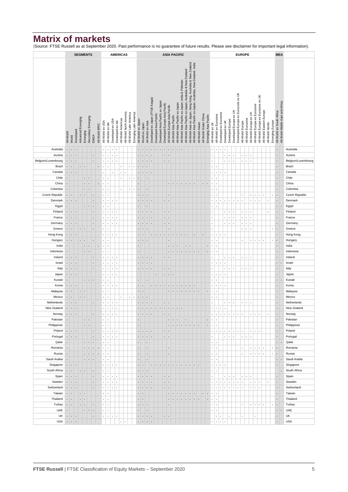### **Matrix of markets**

(Source: FTSE Russell as at September 2020. Past performance is no guarantee of future results. Please see disclaimer for important legal information).

|                            |              |                         | <b>ASIA PACIFIC</b><br><b>SEGMENTS</b><br><b>AMERICAS</b> |                      |                 |                                |                |                |                      |                  |                                              |                                     |                    |                         |                         | <b>EUROPE</b>          |                               |                      |                                    |                                                            |                                 |                               |                               |                          |                                 |                                                   |                                                          |                                                                                                                               |                 | <b>MEA</b>             |                       |                                             |                                                |                                                             |                  |                        |                                                        |                    |                        |                              |                                    |                          |                         |                 |                           |                                  |                           |
|----------------------------|--------------|-------------------------|-----------------------------------------------------------|----------------------|-----------------|--------------------------------|----------------|----------------|----------------------|------------------|----------------------------------------------|-------------------------------------|--------------------|-------------------------|-------------------------|------------------------|-------------------------------|----------------------|------------------------------------|------------------------------------------------------------|---------------------------------|-------------------------------|-------------------------------|--------------------------|---------------------------------|---------------------------------------------------|----------------------------------------------------------|-------------------------------------------------------------------------------------------------------------------------------|-----------------|------------------------|-----------------------|---------------------------------------------|------------------------------------------------|-------------------------------------------------------------|------------------|------------------------|--------------------------------------------------------|--------------------|------------------------|------------------------------|------------------------------------|--------------------------|-------------------------|-----------------|---------------------------|----------------------------------|---------------------------|
|                            |              |                         |                                                           |                      |                 |                                |                |                |                      |                  |                                              |                                     |                    |                         |                         |                        |                               |                      |                                    |                                                            |                                 |                               |                               |                          |                                 |                                                   |                                                          |                                                                                                                               |                 |                        |                       |                                             |                                                |                                                             |                  |                        |                                                        |                    |                        |                              |                                    |                          |                         |                 |                           |                                  |                           |
|                            | All-World    |                         | Developed                                                 | Advanced Emerging    |                 | Secondary Emerging<br>Emerging |                | All-World BRIC |                      | All-World ex USA | All-World ex NA                              | Developed ex USA<br>Developed ex NA | All-World Americas | All-World North America | All-World Latin America | Emerging Latin America | All-World ex Japan            | World ex Japan       | All-World ex Asia                  | Developed ex Japan (FTSE Kaigai)<br>Developed Asia Pacific | Developed Asia Pacific ex Japan | Developed Europe Asia Pacific | All-World Europe-Asia Pacific | All-World Asia Pacific   | All-World Asia Pacific ex Japan | All-World Asia Pacific ex Japan, India & Pakistan | All-World Asia Pacific ex Japan, Australia & New Zealand | All-World Asia ex Japan, Hong Kong, Australia & New Zealand<br>All-World Asia Pacific ex Japan, Australia, New Zealand, India | All-World Asean | All-World Grater China | Emerging Asia Pacific | All-World ex UK                             | Developed ex Eurozone<br>All-World ex Eurozone | Developed ex UK                                             | Developed Europe | Developed Europe ex UK | Developed Europe ex Eurozone ex UK<br>All-World Europe | All-World Eurozone | All-World Europe ex UK | All-World Europe ex Eurozone | All-World Europe ex Eurozone ex UK | All-World Eastern Europe | <b>All-World Nordic</b> | Emerging Europe | All-World ex South Africa | All-World Middle East and Africa |                           |
|                            |              | World                   |                                                           |                      |                 |                                | EMEA           |                |                      |                  |                                              |                                     |                    |                         |                         |                        |                               |                      |                                    |                                                            |                                 |                               |                               |                          |                                 |                                                   |                                                          |                                                                                                                               |                 |                        |                       |                                             |                                                |                                                             |                  |                        |                                                        |                    |                        |                              |                                    |                          |                         |                 |                           |                                  |                           |
| Australia                  |              | $\cdot$ $\cdot$         | $\overline{\phantom{a}}$                                  |                      |                 |                                |                |                |                      |                  | ٠<br>$\blacksquare$                          |                                     |                    |                         |                         |                        |                               | $\blacksquare$       | ×                                  |                                                            |                                 | $\mathbf{r}$                  | ×.                            | $\overline{\phantom{a}}$ | $\mathbf{r}$                    |                                                   |                                                          |                                                                                                                               |                 |                        |                       | $\blacksquare$                              |                                                |                                                             |                  |                        |                                                        |                    |                        |                              |                                    |                          |                         |                 |                           |                                  | Australia                 |
| Austria                    | ×            | ∣.                      | ×                                                         |                      |                 |                                | ×              |                | ×                    |                  | $\blacksquare$<br>$\ddot{\phantom{a}}$       | ×                                   |                    |                         |                         |                        |                               | ×                    |                                    |                                                            |                                 | $\cdot$ .                     | J.                            |                          |                                 |                                                   |                                                          |                                                                                                                               |                 |                        |                       |                                             |                                                | ä,                                                          | à,               | j,                     | ×,                                                     | $\bullet$          | ٠                      |                              |                                    |                          |                         |                 | ł.                        |                                  | Austria                   |
| Belgium/Luxembourg         | $\bullet$    | ı.                      | $\blacksquare$                                            |                      |                 |                                | ä,             |                | ٠                    |                  | ٠<br>$\blacksquare$                          | ×                                   |                    |                         |                         |                        | ٠                             | ٠                    | ٠<br>٠                             |                                                            |                                 | ٠.                            | $\cdot$                       |                          |                                 |                                                   |                                                          |                                                                                                                               |                 |                        |                       |                                             |                                                | ٠                                                           | $\epsilon$       | ٠                      | $\blacksquare$                                         | $\cdot$            | $\bullet$              |                              |                                    |                          |                         |                 | ٠                         |                                  | Belgium/Luxembourg        |
| Brazil                     | $\bullet$    | ×                       |                                                           | $\blacksquare$       | $\cdot$         |                                |                | $\blacksquare$ | ä,                   |                  |                                              |                                     |                    |                         | ٠                       | $\bullet$              | $\epsilon$                    | $\cdot$              |                                    |                                                            |                                 |                               |                               |                          |                                 |                                                   |                                                          |                                                                                                                               |                 |                        |                       | ×<br>٠                                      |                                                |                                                             |                  |                        |                                                        |                    |                        |                              |                                    |                          |                         |                 | ×,                        |                                  | Brazil                    |
| Canada                     |              | $\cdot$ $\cdot$         | $\overline{\phantom{a}}$                                  |                      |                 |                                |                |                | $\blacksquare$       |                  | $\blacksquare$                               |                                     | $\bullet$          |                         |                         |                        | $\overline{\phantom{a}}$      | $\blacksquare$       | ٠<br>×                             |                                                            |                                 |                               |                               |                          |                                 |                                                   |                                                          |                                                                                                                               |                 |                        |                       | $\bullet$                                   | $\sim$<br>$\sim$                               | $\cdot$                                                     |                  |                        |                                                        |                    |                        |                              |                                    |                          |                         |                 | ٠                         |                                  | Canada                    |
| Chile                      |              |                         |                                                           |                      |                 | $\cdot$ .                      |                |                | ×                    |                  | ×                                            |                                     |                    |                         | $\bullet$               | $\bullet$              | ł.                            |                      |                                    |                                                            |                                 |                               |                               |                          |                                 |                                                   |                                                          |                                                                                                                               |                 |                        |                       | ٠<br>٠.                                     |                                                |                                                             |                  |                        |                                                        |                    |                        |                              |                                    |                          |                         |                 | ł.                        |                                  | Chile                     |
| China                      | ×.           |                         |                                                           |                      |                 | $\blacksquare$                 |                | $\blacksquare$ | $\blacksquare$       |                  | $\cdot$                                      |                                     |                    |                         |                         |                        | ×                             |                      |                                    |                                                            |                                 |                               | $\blacksquare$                | ٠.                       | $\mathbf{r}$                    | ٠<br>$\bullet$                                    | н.                                                       | ٠                                                                                                                             |                 | $\cdot$                | ×.                    | $\epsilon$<br>$\overline{\phantom{a}}$      |                                                |                                                             |                  |                        |                                                        |                    |                        |                              |                                    |                          |                         |                 | ٠                         |                                  | China                     |
| Colombia<br>Czech Republic | ×            |                         |                                                           |                      | $\blacksquare$  |                                |                |                | ٠                    |                  |                                              |                                     |                    |                         | ٠                       | $\bullet$              | ٠<br>$\overline{\phantom{a}}$ |                      | ٠                                  |                                                            |                                 |                               |                               |                          |                                 |                                                   |                                                          |                                                                                                                               |                 |                        |                       | ×<br>×                                      |                                                |                                                             |                  |                        |                                                        |                    |                        |                              |                                    |                          |                         |                 | ×,                        |                                  | Colombia                  |
| Denmark                    | $\epsilon$   | $\cdot$ .<br>⊪.         |                                                           | $\ddot{\phantom{a}}$ | ٠.              |                                | ×<br>ä,        |                | ٠<br>$\cdot$         |                  | $\cdot$<br>$\bullet$<br>$\ddot{\phantom{a}}$ |                                     |                    |                         |                         |                        |                               | $\blacksquare$<br>×  | $\overline{\phantom{a}}$<br>×<br>× |                                                            |                                 | ٠.                            | ×<br>×                        |                          |                                 |                                                   |                                                          |                                                                                                                               |                 |                        |                       | ٠<br>$\blacksquare$<br>à,<br>$\blacksquare$ |                                                | ×,                                                          | à,               | Ĭ.                     | ٠<br>í,<br>ä,                                          |                    | $\sim$<br>$\sim$       | $\bullet$<br>$\mathbf{r}$    | $\cdot$<br>ä,                      | ٠                        |                         | ٠               | $\alpha$<br>ł.            |                                  | Czech Republic<br>Denmark |
| Egypt                      | ×.           |                         |                                                           |                      |                 | $\sim$<br>$\blacksquare$       | ×              |                | $\blacksquare$       |                  | ×,                                           |                                     |                    |                         |                         |                        | ٠                             |                      |                                    |                                                            |                                 |                               |                               |                          |                                 |                                                   |                                                          |                                                                                                                               |                 |                        |                       | k,<br>٠.                                    |                                                |                                                             |                  |                        |                                                        |                    |                        |                              |                                    |                          |                         |                 | ×.                        | ×                                | Egypt                     |
| Finland                    | $\bullet$    | $\cdot$                 | ٠                                                         |                      |                 |                                | $\blacksquare$ |                | $\ddot{\phantom{a}}$ |                  | $\blacksquare$<br>$\ddot{\phantom{a}}$       | ٠                                   |                    |                         |                         |                        | $\blacksquare$                | $\cdot$              | ٠                                  |                                                            |                                 | $\blacksquare$                | $\cdot$                       |                          |                                 |                                                   |                                                          |                                                                                                                               |                 |                        |                       | ÷,                                          |                                                | ٠                                                           | $\bullet$        | ×                      | ×                                                      | $\cdot$            |                        |                              |                                    |                          |                         |                 | ä,                        |                                  | Finland                   |
| France                     | ×            | ı.                      | ٠                                                         |                      |                 |                                | ò.             |                | ٠                    |                  | ä,<br>$\ddot{\phantom{a}}$                   | ×                                   |                    |                         |                         |                        | ×                             | $\blacksquare$       | ٠<br>$\bullet$                     |                                                            |                                 | $\cdot$ .                     | $\cdot$                       |                          |                                 |                                                   |                                                          |                                                                                                                               |                 |                        |                       | ٠                                           |                                                | ä,                                                          | à,               | $\cdot$                | $\blacksquare$                                         | $\blacksquare$     | $\blacksquare$         |                              |                                    |                          |                         |                 | ٠                         |                                  | France                    |
| Germany                    | ×            | ∣.                      | ٠                                                         |                      |                 |                                | ò.             |                | $\cdot$              |                  | $\cdot$<br>$\ddot{\phantom{a}}$              | ٠                                   |                    |                         |                         |                        | ×                             | ×                    | ×<br>$\overline{\phantom{a}}$      |                                                            |                                 |                               | ٠۱.                           |                          |                                 |                                                   |                                                          |                                                                                                                               |                 |                        |                       |                                             |                                                | $\blacksquare$                                              | $\bullet$        | ×                      | ×                                                      | $\bullet$          |                        |                              |                                    |                          |                         |                 | ł.                        |                                  | Germany                   |
| Greece                     | $\epsilon$   | ×                       |                                                           | $\blacksquare$       | ٠.              |                                | ×,             |                | ä,                   |                  | ä,                                           |                                     |                    |                         |                         |                        | ä,                            | ×                    |                                    |                                                            |                                 |                               | $\blacksquare$                |                          |                                 |                                                   |                                                          |                                                                                                                               |                 |                        |                       |                                             |                                                |                                                             |                  |                        | ×                                                      | $\bullet$          |                        |                              |                                    |                          |                         | ٠               | $\epsilon$                |                                  | Greece                    |
| Hong Kong                  | $\bullet$    | $\cdot$                 |                                                           |                      |                 |                                |                |                | ٠                    |                  | ٠<br>٠                                       | ٠                                   |                    |                         |                         |                        | $\blacksquare$                | ×                    |                                    | ×<br>٠                                                     | ٠                               | $\blacksquare$                | $\cdot$                       | $\blacksquare$           |                                 | $\blacksquare$<br>٠                               |                                                          |                                                                                                                               |                 | $\blacksquare$         |                       | ×<br>٠                                      |                                                | ×                                                           |                  |                        |                                                        |                    |                        |                              |                                    |                          |                         |                 | ×                         |                                  | Hong Kong                 |
| Hungary                    | ٠            | ٠.                      |                                                           | $\ddot{\phantom{a}}$ | ٠.              |                                | ×,             |                | ×                    |                  | ×,                                           |                                     |                    |                         |                         |                        | $\epsilon$                    | $\cdot$              |                                    |                                                            |                                 |                               | ×                             |                          |                                 |                                                   |                                                          |                                                                                                                               |                 |                        |                       | ×<br>×                                      |                                                |                                                             |                  |                        | ×                                                      |                    | $\sim$                 | $\bullet$                    | $\blacksquare$                     | ×                        |                         | $\epsilon$      | $\bullet$                 |                                  | Hungary                   |
| India                      | $\mathbf{r}$ |                         |                                                           |                      | ٠               | $\blacksquare$                 |                | $\blacksquare$ | $\blacksquare$       |                  | $\bullet$                                    |                                     |                    |                         |                         |                        | $\ddot{\phantom{a}}$          |                      |                                    |                                                            |                                 |                               | $\blacksquare$                | $\blacksquare$           | $\overline{\phantom{a}}$        | $\cdot$                                           | $\blacksquare$                                           |                                                                                                                               |                 |                        | ×.                    | $\bullet$<br>$\overline{\phantom{a}}$       |                                                |                                                             |                  |                        |                                                        |                    |                        |                              |                                    |                          |                         |                 | ×                         |                                  | India                     |
| Indonesia                  |              |                         |                                                           |                      |                 | $\cdot$ .                      |                |                | ×,                   |                  | ä,                                           |                                     |                    |                         |                         |                        | ł.                            |                      |                                    |                                                            |                                 |                               |                               | $\ddot{\phantom{1}}$     | $\bullet$                       | $\cdot$<br>$\blacksquare$                         | ۰.                                                       | $\cdot$ .                                                                                                                     | ł.              |                        | ×,                    | $\epsilon$                                  |                                                |                                                             |                  |                        |                                                        |                    |                        |                              |                                    |                          |                         |                 | ł.                        |                                  | Indonesia                 |
| Ireland                    | ×            | Ŀ.                      | ٠                                                         |                      |                 |                                | ×              |                | $\ddot{\phantom{a}}$ |                  | $\bullet$<br>$\bullet$                       | ×                                   |                    |                         |                         |                        | $\epsilon$                    | ٠                    | ٠<br>٠                             |                                                            |                                 | ٠                             | ×                             |                          |                                 |                                                   |                                                          |                                                                                                                               |                 |                        |                       | ٠                                           |                                                | $\blacksquare$                                              | $\bullet$        |                        | ×,                                                     | $\bullet$          |                        |                              |                                    |                          |                         |                 | ×,                        |                                  | Ireland                   |
| Israel                     | ×            | ∣.                      | ٠                                                         |                      |                 |                                | ò.             |                | ٠                    |                  | ٠<br>$\ddot{\phantom{a}}$                    |                                     |                    |                         |                         |                        | ×                             | $\cdot$              | ł,<br>٠                            |                                                            |                                 |                               |                               |                          |                                 |                                                   |                                                          |                                                                                                                               |                 |                        |                       | ×<br>٠                                      |                                                | ä,                                                          |                  |                        |                                                        |                    |                        |                              |                                    |                          |                         |                 | ٠                         | ٠                                | Israel                    |
| Italy                      |              | $\cdot$ $\cdot$         | $\blacksquare$                                            |                      |                 |                                | ×,             |                | ٠                    |                  | $\epsilon$<br>$\bullet$                      | $\mathbf{r}$                        |                    |                         |                         |                        | $\blacksquare$                | $\sim$ $\sim$        | ٠                                  |                                                            |                                 | $\cdot$ .                     | ×                             |                          |                                 |                                                   |                                                          |                                                                                                                               |                 |                        |                       | $\mathbf{r}$                                |                                                | ٠                                                           | ٠                |                        | $\cdot$                                                | $\sim$             | $\blacksquare$         |                              |                                    |                          |                         |                 | ×,                        |                                  | Italy                     |
| Japan                      | $\epsilon$   | $\vert \cdot \vert$     |                                                           |                      |                 |                                |                |                | ×,                   |                  | $\blacksquare$<br>$\ddot{\phantom{a}}$       | ×                                   |                    |                         |                         |                        |                               |                      |                                    |                                                            |                                 | . .                           | $\cdot$                       |                          |                                 |                                                   |                                                          |                                                                                                                               |                 |                        |                       | à,<br>$\epsilon$                            | $\bullet$                                      | ä,                                                          |                  |                        |                                                        |                    |                        |                              |                                    |                          |                         |                 | í,                        |                                  | Japan                     |
| Kuwait                     | ×.           |                         |                                                           |                      |                 | $\cdot$ $\cdot$ $\cdot$        | ×              |                | ×                    |                  | ä,                                           |                                     |                    |                         |                         |                        | ×                             |                      |                                    |                                                            |                                 |                               |                               |                          |                                 |                                                   |                                                          |                                                                                                                               |                 |                        |                       | k.<br>$\blacksquare$                        |                                                |                                                             |                  |                        |                                                        |                    |                        |                              |                                    |                          |                         |                 | ×.                        | ٠                                | Kuwait                    |
| Korea                      | $\bullet$    | ∣.                      | ٠                                                         |                      |                 |                                |                |                | ×                    |                  | $\blacksquare$<br>$\ddot{\phantom{a}}$       |                                     |                    |                         |                         |                        | $\blacksquare$                | ٠                    |                                    | $\bullet$<br>٠                                             | $\bullet$                       | $\blacksquare$                | $\blacksquare$                | $\blacksquare$           | $\blacksquare$                  | $\cdot$<br>٠                                      | $\cdot$                                                  | $\cdot$                                                                                                                       |                 |                        |                       | $\cdot$<br>×                                | $\bullet$                                      | ä,                                                          |                  |                        |                                                        |                    |                        |                              |                                    |                          |                         |                 | ×,                        |                                  | Korea                     |
| Malaysia                   |              | $\cdot$ $\cdot$         |                                                           | ٠                    | ٠.              |                                |                |                | ٠                    |                  | $\cdot$                                      |                                     |                    |                         |                         |                        | ×,                            | $\cdot$              |                                    |                                                            |                                 |                               | $\epsilon$                    | $\blacksquare$           | $\bullet$                       | $\cdot$<br>$\blacksquare$                         | $\cdot$                                                  | $\sim$                                                                                                                        | ×               |                        | $\bullet$             | $\bullet$<br>$\blacksquare$                 |                                                |                                                             |                  |                        |                                                        |                    |                        |                              |                                    |                          |                         |                 | ×,                        |                                  | Malaysia                  |
| Mexico                     |              | $\cdot$ $\cdot$         |                                                           | $\ddot{\phantom{a}}$ | ۱.              |                                |                |                |                      | $\blacksquare$   | $\cdot$                                      |                                     |                    |                         | $\bullet$               | $\bullet$              | $\blacksquare$                | $\cdot$              |                                    |                                                            |                                 |                               |                               |                          |                                 |                                                   |                                                          |                                                                                                                               |                 |                        |                       | $\bullet$<br>$\blacksquare$                 |                                                |                                                             |                  |                        |                                                        |                    |                        |                              |                                    |                          |                         |                 | ×                         |                                  | Mexico                    |
| Netherlands                | ٠            | ι.                      |                                                           |                      |                 |                                | ×,             |                | $\blacksquare$       |                  | $\bullet$<br>$\bullet$                       | ٠                                   |                    |                         |                         |                        | ä,                            | ×                    | ٠<br>٠                             |                                                            |                                 | ٠.                            | ×                             |                          |                                 |                                                   |                                                          |                                                                                                                               |                 |                        |                       | ×                                           |                                                | $\blacksquare$                                              | ×                | ×                      | ×,                                                     | $\bullet$          | $\mathbf{r}$           |                              |                                    |                          |                         |                 | ×                         |                                  | Netherlands               |
| New Zealand                | ×            | $\cdot$                 | ٠                                                         |                      |                 |                                |                |                | ×                    |                  | $\blacksquare$<br>$\ddot{\phantom{a}}$       | ×                                   |                    |                         |                         |                        | $\blacksquare$                | $\cdot$              |                                    | ×,<br>$\bullet$                                            | $\cdot$                         | $\blacksquare$                | $\blacksquare$                | $\blacksquare$           | $\blacksquare$                  | ×,                                                |                                                          |                                                                                                                               |                 |                        |                       | ×<br>٠                                      | $\mathbf{r}$                                   | ×,                                                          |                  |                        |                                                        |                    |                        |                              |                                    |                          |                         |                 | ł.                        |                                  | New Zealand               |
| Norway                     |              | $\cdot$ $\cdot$ $\cdot$ |                                                           |                      |                 |                                | $\bullet$      |                |                      | $\blacksquare$   | $\bullet$<br>$\cdot$                         | ٠.                                  |                    |                         |                         |                        | $\blacksquare$                | $\sim$ $\sim$ $\sim$ |                                    |                                                            |                                 | . .                           | $\cdot$                       |                          |                                 |                                                   |                                                          |                                                                                                                               |                 |                        |                       | $\bullet$                                   |                                                | $  \cdot   \cdot   \cdot   \cdot   \cdot   \cdot   \cdot  $ |                  |                        | $\cdot$                                                |                    |                        | $\cdot$ $\cdot$ $\cdot$      | $\cdot$                            |                          | $\bullet$               |                 | ٠                         |                                  | Norway                    |
| Pakistan                   | $\epsilon$   |                         |                                                           |                      |                 | $\cdot$ $\cdot$                |                |                |                      | $\blacksquare$   | $\bullet$                                    |                                     |                    |                         |                         |                        | ×                             |                      |                                    |                                                            |                                 |                               | $\blacksquare$                | $\vert \cdot \vert$      | $\blacksquare$                  | ×,                                                |                                                          |                                                                                                                               |                 |                        | $\epsilon$            | $\blacksquare$<br>$\blacksquare$            |                                                |                                                             |                  |                        |                                                        |                    |                        |                              |                                    |                          |                         |                 | ×                         |                                  | Pakistan                  |
| Philippines                | $\epsilon$   |                         |                                                           |                      |                 | $\cdot$ .                      |                |                |                      | ¥.               | $\cdot$                                      |                                     |                    |                         |                         |                        | ×,                            |                      |                                    |                                                            |                                 |                               | $\epsilon$                    |                          | $-1 - 1 - 1 -$                  |                                                   |                                                          | $\vert \cdot \vert \cdot \vert$ .                                                                                             |                 |                        | ×.                    | à.<br>×                                     |                                                |                                                             |                  |                        |                                                        |                    |                        |                              |                                    |                          |                         |                 | ×,                        |                                  | Philippines               |
| Poland                     | $\bullet$    | Ŀ.                      | $\blacksquare$                                            |                      |                 |                                | $\blacksquare$ |                | $\cdot$              |                  | $\blacksquare$<br>$\blacksquare$             | $\bullet$                           |                    |                         |                         |                        | $\blacksquare$                | $\cdot$              | $\bullet$<br>٠                     |                                                            |                                 | ٠                             | ×                             |                          |                                 |                                                   |                                                          |                                                                                                                               |                 |                        |                       | $\bullet$                                   | $\bullet$<br>$\bullet$                         | ٠                                                           | $\bullet$        | $\blacksquare$         | ò.<br>×                                                |                    | $\bullet$              | ×.                           | $\bullet$                          |                          |                         |                 | $\epsilon$                |                                  | Poland                    |
| Portugal                   |              | $\cdot$ $\cdot$         | $\blacksquare$                                            |                      |                 |                                | ×,             |                |                      | $\bullet$        | $\blacksquare$<br>$\blacksquare$             | ٠                                   |                    |                         |                         |                        | $\epsilon$                    | ٠.                   | ٠<br>$\sim$                        |                                                            |                                 | $\cdot$ .                     | $\cdot$                       |                          |                                 |                                                   |                                                          |                                                                                                                               |                 |                        |                       | ٠                                           |                                                | $\blacksquare$                                              | $\bullet$        | $\bullet$              | $\blacksquare$                                         | $\bullet$          | $\bullet$              |                              |                                    |                          |                         |                 | $\bullet$                 |                                  | Portugal                  |
| Qatar                      | ٠            |                         |                                                           |                      |                 | $\cdot$ $\cdot$ $\cdot$        | ×.             |                |                      | $\cdot$          | $\bullet$                                    |                                     |                    |                         |                         |                        | $\epsilon$                    |                      | ٠                                  |                                                            |                                 |                               |                               |                          |                                 |                                                   |                                                          |                                                                                                                               |                 |                        |                       | $\bullet$<br>٠.                             |                                                |                                                             |                  |                        |                                                        |                    |                        |                              |                                    |                          |                         |                 | $\cdot$ .                 |                                  | Qatar                     |
| Romania                    | ×            |                         |                                                           |                      |                 | $\cdot$ .                      | ×,             | $\cdot$        |                      | $\bullet$        | $\blacksquare$                               |                                     |                    |                         |                         |                        | ×,                            |                      | ×,                                 |                                                            |                                 |                               | ×                             |                          |                                 |                                                   |                                                          |                                                                                                                               |                 |                        |                       | à.<br>٠.                                    |                                                |                                                             |                  |                        | ä,                                                     |                    |                        | $\cdot$ $\cdot$              | $\cdot$                            | ۱.                       |                         | $\blacksquare$  | ь.                        |                                  | Romania                   |
| Russia                     | ×            |                         |                                                           |                      | $\blacksquare$  | $\sim$                         | ٠              | $\cdot$        | $\bullet$            |                  | $\cdot$                                      |                                     |                    |                         |                         |                        | $\epsilon$                    |                      | ×.                                 |                                                            |                                 |                               | $\epsilon$                    |                          |                                 |                                                   |                                                          |                                                                                                                               |                 |                        |                       | à.<br>٠.                                    |                                                |                                                             |                  |                        | ×                                                      |                    |                        | $\cdot$ $\cdot$              | $\blacksquare$                     | ۱.                       |                         | ٠               | ×,                        |                                  | Russia                    |
| Saudi Arabia               | ×            |                         |                                                           |                      |                 | $\cdot$ $\cdot$ $\cdot$        | $\bullet$      |                | $\blacksquare$       |                  | $\blacksquare$                               |                                     |                    |                         |                         |                        | $\epsilon$                    |                      | ٠                                  |                                                            |                                 |                               |                               |                          |                                 |                                                   |                                                          |                                                                                                                               |                 |                        |                       | $\bullet$<br>$\cdot$                        |                                                |                                                             |                  |                        |                                                        |                    |                        |                              |                                    |                          |                         |                 | ٠                         | ٠                                | Saudi Arabia              |
| Singapore                  |              | $\cdot$ $\cdot$         | $\blacksquare$                                            |                      |                 |                                |                |                |                      | $\bullet$        | $\bullet$<br>$\cdot$                         | ٠                                   |                    |                         |                         |                        | $\blacksquare$                | $\blacksquare$       |                                    | .                                                          |                                 |                               |                               |                          | .                               |                                                   | . .                                                      | $\sim$                                                                                                                        |                 |                        |                       | $\bullet$                                   | . .<br>$\sim$                                  | $\cdot$                                                     |                  |                        |                                                        |                    |                        |                              |                                    |                          |                         |                 | ×.                        |                                  | Singapore                 |
| South Africa               |              | $\cdot$ .               |                                                           | ä,                   | ٠.              |                                | ä,             |                |                      | $\cdot$          | $\cdot$                                      |                                     |                    |                         |                         |                        | ä,                            | $\cdot$              |                                    |                                                            |                                 |                               |                               |                          |                                 |                                                   |                                                          |                                                                                                                               |                 |                        |                       | à.<br>$\cdot$                               |                                                |                                                             |                  |                        |                                                        |                    |                        |                              |                                    |                          |                         |                 |                           | ×,                               | South Africa              |
| Spain                      |              | $\cdot$ $\cdot$         | ٠                                                         |                      |                 |                                | $\blacksquare$ |                |                      | $\blacksquare$   | $\mathbf{r}$<br>$\bullet$                    | $\mathbf{r}$                        |                    |                         |                         |                        | ä,                            | $\cdot$              | ٠<br>٠                             |                                                            |                                 |                               | $\cdot \mid \cdot$            |                          |                                 |                                                   |                                                          |                                                                                                                               |                 |                        |                       | ٠                                           |                                                | $\cdot$                                                     | $\epsilon$       | ×                      | ×,                                                     | $\epsilon$         | $\mathbf{r}$           |                              |                                    |                          |                         |                 | ×.                        |                                  | Spain                     |
| Sweden                     | $\bullet$    | Ŀ.                      | ٠                                                         |                      |                 |                                | $\bullet$      |                | ×,                   |                  | $\blacksquare$<br>$\blacksquare$             | ×                                   |                    |                         |                         |                        | $\blacksquare$                | $\cdot$              | ä,<br>٠                            |                                                            |                                 | ٠.                            | $\bullet$                     |                          |                                 |                                                   |                                                          |                                                                                                                               |                 |                        |                       | ×<br>$\bullet$                              | ٠                                              | $\blacksquare$                                              | $\bullet$        | $\blacksquare$         | $\blacksquare$<br>$\bullet$                            |                    | $\mathbf{r}$           | $\blacksquare$               | $\blacksquare$                     |                          | $\blacksquare$          |                 | ×,                        |                                  | Sweden                    |
| Switzerland                |              | $\cdot$ $\cdot$ $\cdot$ |                                                           |                      |                 |                                | $\epsilon$     |                |                      | $\blacksquare$   | $\bullet$<br>$\cdot$                         | $\bullet$                           |                    |                         |                         |                        | $\blacksquare$                | $\sim$ $\sim$ $\sim$ |                                    |                                                            |                                 |                               | $\cdot$ $\cdot$               |                          |                                 |                                                   |                                                          |                                                                                                                               |                 |                        |                       | $\bullet$                                   | $\sim$<br>$\sim$                               | $\blacksquare$                                              | $\bullet$        | H.                     | $\bullet$<br>$\cdot$                                   |                    |                        | $\cdot$ $\cdot$              | $\cdot$                            |                          |                         |                 | $\epsilon$                |                                  | Switzerland               |
| Taiwan                     |              | $\cdot$ $\cdot$         |                                                           |                      | $\cdot$ $\cdot$ |                                |                |                |                      | $\blacksquare$   | $\cdot$                                      |                                     |                    |                         |                         |                        | ×,                            | $\cdot$              |                                    |                                                            |                                 |                               | $\epsilon$                    | $\cdot$ $\cdot$          |                                 | ь.<br>$\mathbf{I}$                                | $\mathbf{I}$                                             | $\blacksquare$                                                                                                                |                 | $\cdot$                | $\epsilon$            | $\bullet$<br>٠.                             |                                                |                                                             |                  |                        |                                                        |                    |                        |                              |                                    |                          |                         |                 | ×                         |                                  | Taiwan                    |
| Thailand                   |              | $\cdot$ $\cdot$         |                                                           | $\blacksquare$       | ۱.              |                                |                |                |                      | $\cdot$          | $\bullet$                                    |                                     |                    |                         |                         |                        | ä,                            | $\cdot$              |                                    |                                                            |                                 |                               | ×                             | $\blacksquare$           | $\sim$                          | $\blacksquare$<br>$\cdot$                         | $\cdot$ .                                                | $\epsilon$                                                                                                                    | ł.              |                        | $\mathbf{r}$          | à.<br>٠                                     |                                                |                                                             |                  |                        |                                                        |                    |                        |                              |                                    |                          |                         |                 | ×                         |                                  | Thailand                  |
| Turkey                     |              | $\cdot$ $\cdot$         |                                                           | $\blacksquare$       | ٠.              |                                | $\blacksquare$ |                | $\cdot$              |                  | $\cdot$                                      |                                     |                    |                         |                         |                        | $\blacksquare$                | $\sim$<br>×          |                                    |                                                            |                                 |                               | $\blacksquare$                |                          |                                 |                                                   |                                                          |                                                                                                                               |                 |                        |                       | ٠.<br>٠                                     |                                                |                                                             |                  |                        | ł,                                                     |                    | $\mathbf{r}$           | $\blacksquare$               | $\cdot$                            | ×                        |                         | $\epsilon$      | $\bullet$                 |                                  | Turkey                    |
| UAE                        | $\sim$ 1     |                         |                                                           |                      |                 | $\blacksquare$                 | ×,<br>$\sim$   |                |                      | ٠                | ×,                                           |                                     |                    |                         |                         |                        | $\epsilon$                    |                      | $\bullet$                          |                                                            |                                 |                               |                               |                          |                                 |                                                   |                                                          |                                                                                                                               |                 |                        |                       | $\bullet$<br>$\bullet$                      |                                                |                                                             |                  |                        |                                                        |                    |                        |                              |                                    |                          |                         |                 | $\cdot$ .                 | $\cdot$                          | UAE                       |
| UK                         |              | $\cdot$ $\cdot$ $\cdot$ |                                                           |                      |                 |                                | $\bullet$      |                |                      | $\cdot$          | $\sim$<br>$\bullet$                          | ٠                                   |                    |                         |                         |                        | $\blacksquare$                | $\cdot$ $\cdot$      | ×                                  |                                                            |                                 |                               | $\cdot$ $\cdot$               |                          |                                 |                                                   |                                                          |                                                                                                                               |                 |                        |                       |                                             | $\bullet$<br>$\overline{\phantom{a}}$          |                                                             | $\overline{a}$   |                        | ×                                                      |                    |                        | ä,                           |                                    |                          |                         |                 | ×                         |                                  | UK                        |
| USA                        |              | $\cdot$ $\cdot$ $\cdot$ |                                                           |                      |                 |                                |                |                |                      |                  |                                              |                                     |                    |                         |                         |                        | ä,                            | $\cdot$ $\cdot$      |                                    |                                                            |                                 |                               |                               |                          |                                 |                                                   |                                                          |                                                                                                                               |                 |                        |                       | $\cdot$                                     |                                                |                                                             |                  |                        |                                                        |                    |                        |                              |                                    |                          |                         |                 |                           |                                  | <b>USA</b>                |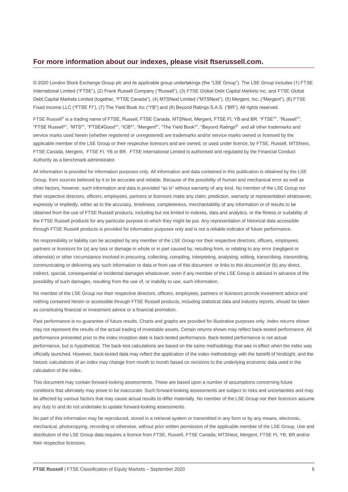#### **For more information about our indexes, please visit ftserussell.com.**

© 2020 London Stock Exchange Group plc and its applicable group undertakings (the "LSE Group"). The LSE Group includes (1) FTSE International Limited ("FTSE"), (2) Frank Russell Company ("Russell"), (3) FTSE Global Debt Capital Markets Inc. and FTSE Global Debt Capital Markets Limited (together, "FTSE Canada"), (4) MTSNext Limited ("MTSNext"), (5) Mergent, Inc. ("Mergent"), (6) FTSE Fixed Income LLC ("FTSE FI"), (7) The Yield Book Inc ("YB") and (8) Beyond Ratings S.A.S. ("BR"). All rights reserved.

FTSE Russell® is a trading name of FTSE, Russell, FTSE Canada, MTSNext, Mergent, FTSE FI, YB and BR. "FTSE®", "Russell®", "FTSE Russell<sup>®</sup>", "MTS<sup>®</sup>", "FTSE4Good<sup>®</sup>", "ICB®", "Mergent®", "The Yield Book®", "Beyond Ratings®" and all other trademarks and service marks used herein (whether registered or unregistered) are trademarks and/or service marks owned or licensed by the applicable member of the LSE Group or their respective licensors and are owned, or used under licence, by FTSE, Russell, MTSNext, FTSE Canada, Mergent, FTSE FI, YB or BR. FTSE International Limited is authorised and regulated by the Financial Conduct Authority as a benchmark administrator.

All information is provided for information purposes only. All information and data contained in this publication is obtained by the LSE Group, from sources believed by it to be accurate and reliable. Because of the possibility of human and mechanical error as well as other factors, however, such information and data is provided "as is" without warranty of any kind. No member of the LSE Group nor their respective directors, officers, employees, partners or licensors make any claim, prediction, warranty or representation whatsoever, expressly or impliedly, either as to the accuracy, timeliness, completeness, merchantability of any information or of results to be obtained from the use of FTSE Russell products, including but not limited to indexes, data and analytics, or the fitness or suitability of the FTSE Russell products for any particular purpose to which they might be put. Any representation of historical data accessible through FTSE Russell products is provided for information purposes only and is not a reliable indicator of future performance.

No responsibility or liability can be accepted by any member of the LSE Group nor their respective directors, officers, employees, partners or licensors for (a) any loss or damage in whole or in part caused by, resulting from, or relating to any error (negligent or otherwise) or other circumstance involved in procuring, collecting, compiling, interpreting, analysing, editing, transcribing, transmitting, communicating or delivering any such information or data or from use of this document or links to this document or (b) any direct, indirect, special, consequential or incidental damages whatsoever, even if any member of the LSE Group is advised in advance of the possibility of such damages, resulting from the use of, or inability to use, such information.

No member of the LSE Group nor their respective directors, officers, employees, partners or licensors provide investment advice and nothing contained herein or accessible through FTSE Russell products, including statistical data and industry reports, should be taken as constituting financial or investment advice or a financial promotion.

Past performance is no guarantee of future results. Charts and graphs are provided for illustrative purposes only. Index returns shown may not represent the results of the actual trading of investable assets. Certain returns shown may reflect back-tested performance. All performance presented prior to the index inception date is back-tested performance. Back-tested performance is not actual performance, but is hypothetical. The back-test calculations are based on the same methodology that was in effect when the index was officially launched. However, back-tested data may reflect the application of the index methodology with the benefit of hindsight, and the historic calculations of an index may change from month to month based on revisions to the underlying economic data used in the calculation of the index.

This document may contain forward-looking assessments. These are based upon a number of assumptions concerning future conditions that ultimately may prove to be inaccurate. Such forward-looking assessments are subject to risks and uncertainties and may be affected by various factors that may cause actual results to differ materially. No member of the LSE Group nor their licensors assume any duty to and do not undertake to update forward-looking assessments.

No part of this information may be reproduced, stored in a retrieval system or transmitted in any form or by any means, electronic, mechanical, photocopying, recording or otherwise, without prior written permission of the applicable member of the LSE Group. Use and distribution of the LSE Group data requires a licence from FTSE, Russell, FTSE Canada, MTSNext, Mergent, FTSE FI, YB, BR and/or their respective licensors.